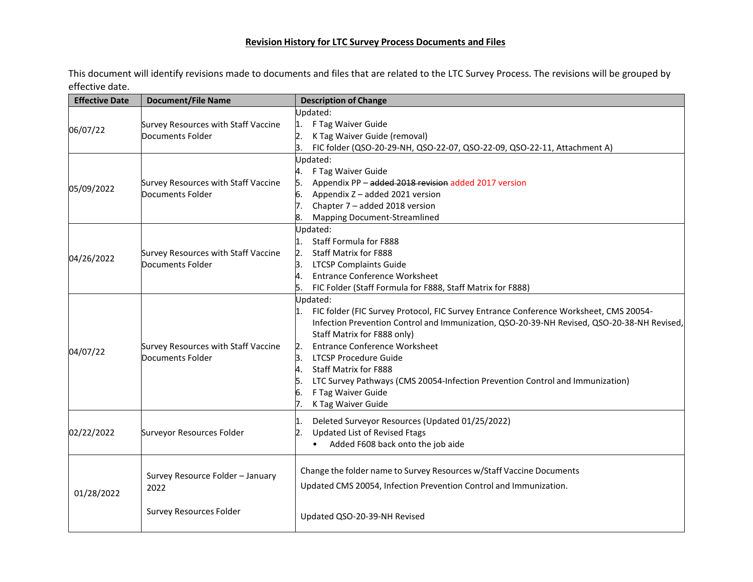This document will identify revisions made to documents and files that are related to the LTC Survey Process. The revisions will be grouped by effective date.

| <b>Effective Date</b> | <b>Document/File Name</b>                               | <b>Description of Change</b>                                                                |
|-----------------------|---------------------------------------------------------|---------------------------------------------------------------------------------------------|
| 06/07/22              | Survey Resources with Staff Vaccine<br>Documents Folder | Updated:                                                                                    |
|                       |                                                         | F Tag Waiver Guide<br>1.                                                                    |
|                       |                                                         | K Tag Waiver Guide (removal)                                                                |
|                       |                                                         | FIC folder (QSO-20-29-NH, QSO-22-07, QSO-22-09, QSO-22-11, Attachment A)                    |
| 05/09/2022            | Survey Resources with Staff Vaccine<br>Documents Folder | Updated:                                                                                    |
|                       |                                                         | F Tag Waiver Guide<br>4.                                                                    |
|                       |                                                         | Appendix PP - added 2018 revision added 2017 version<br>5.                                  |
|                       |                                                         | 6.<br>Appendix Z - added 2021 version                                                       |
|                       |                                                         | Chapter 7 - added 2018 version<br>7.                                                        |
|                       |                                                         | <b>Mapping Document-Streamlined</b><br>8.                                                   |
|                       | Survey Resources with Staff Vaccine<br>Documents Folder | Updated:                                                                                    |
|                       |                                                         | Staff Formula for F888<br>1.                                                                |
| 04/26/2022            |                                                         | <b>Staff Matrix for F888</b><br>2.                                                          |
|                       |                                                         | <b>LTCSP Complaints Guide</b><br>Β.                                                         |
|                       |                                                         | <b>Entrance Conference Worksheet</b>                                                        |
|                       |                                                         | FIC Folder (Staff Formula for F888, Staff Matrix for F888)<br>5.                            |
|                       | Survey Resources with Staff Vaccine<br>Documents Folder | Updated:                                                                                    |
|                       |                                                         | FIC folder (FIC Survey Protocol, FIC Survey Entrance Conference Worksheet, CMS 20054-<br>1. |
| 04/07/22              |                                                         | Infection Prevention Control and Immunization, QSO-20-39-NH Revised, QSO-20-38-NH Revised,  |
|                       |                                                         | Staff Matrix for F888 only)                                                                 |
|                       |                                                         | <b>Entrance Conference Worksheet</b><br>2.                                                  |
|                       |                                                         | 3.<br><b>LTCSP Procedure Guide</b>                                                          |
|                       |                                                         | <b>Staff Matrix for F888</b><br>4.                                                          |
|                       |                                                         | 5.<br>LTC Survey Pathways (CMS 20054-Infection Prevention Control and Immunization)         |
|                       |                                                         | F Tag Waiver Guide<br>6.                                                                    |
|                       |                                                         | K Tag Waiver Guide                                                                          |
| 02/22/2022            | Surveyor Resources Folder                               | Deleted Surveyor Resources (Updated 01/25/2022)<br>1.                                       |
|                       |                                                         | <b>Updated List of Revised Ftags</b><br>2.                                                  |
|                       |                                                         | Added F608 back onto the job aide                                                           |
|                       |                                                         |                                                                                             |
| 01/28/2022            | Survey Resource Folder - January<br>2022                | Change the folder name to Survey Resources w/Staff Vaccine Documents                        |
|                       |                                                         |                                                                                             |
|                       |                                                         | Updated CMS 20054, Infection Prevention Control and Immunization.                           |
|                       |                                                         |                                                                                             |
|                       | <b>Survey Resources Folder</b>                          | Updated QSO-20-39-NH Revised                                                                |
|                       |                                                         |                                                                                             |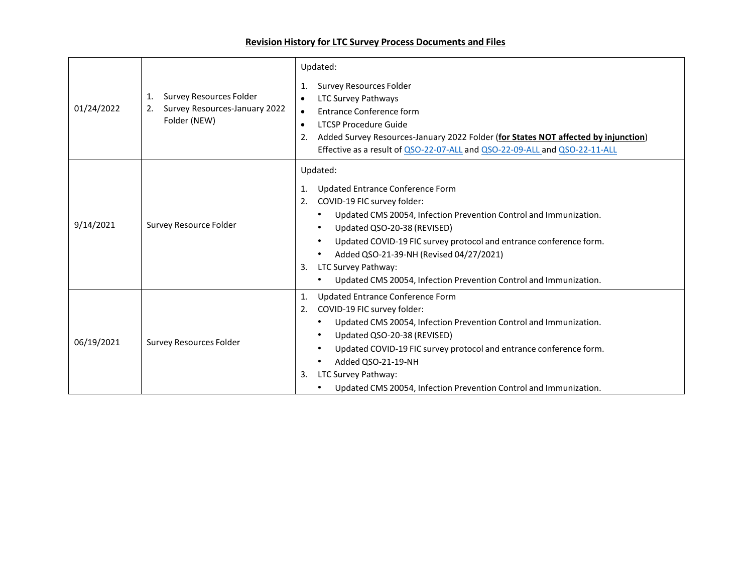| 01/24/2022 | <b>Survey Resources Folder</b><br>1.<br>Survey Resources-January 2022<br>2.<br>Folder (NEW) | Updated:<br><b>Survey Resources Folder</b><br>1.<br>LTC Survey Pathways<br>$\bullet$<br>Entrance Conference form<br>$\bullet$<br><b>LTCSP Procedure Guide</b><br>$\bullet$<br>Added Survey Resources-January 2022 Folder (for States NOT affected by injunction)<br>Effective as a result of QSO-22-07-ALL and QSO-22-09-ALL and QSO-22-11-ALL                                                                                                                  |
|------------|---------------------------------------------------------------------------------------------|-----------------------------------------------------------------------------------------------------------------------------------------------------------------------------------------------------------------------------------------------------------------------------------------------------------------------------------------------------------------------------------------------------------------------------------------------------------------|
| 9/14/2021  | Survey Resource Folder                                                                      | Updated:<br>Updated Entrance Conference Form<br>1.<br>COVID-19 FIC survey folder:<br>2.<br>Updated CMS 20054, Infection Prevention Control and Immunization.<br>٠<br>Updated QSO-20-38 (REVISED)<br>٠<br>Updated COVID-19 FIC survey protocol and entrance conference form.<br>$\bullet$<br>Added QSO-21-39-NH (Revised 04/27/2021)<br>$\bullet$<br>LTC Survey Pathway:<br>3.<br>Updated CMS 20054, Infection Prevention Control and Immunization.<br>$\bullet$ |
| 06/19/2021 | <b>Survey Resources Folder</b>                                                              | <b>Updated Entrance Conference Form</b><br>1.<br>COVID-19 FIC survey folder:<br>2.<br>Updated CMS 20054, Infection Prevention Control and Immunization.<br>٠<br>Updated QSO-20-38 (REVISED)<br>Updated COVID-19 FIC survey protocol and entrance conference form.<br>$\bullet$<br>Added QSO-21-19-NH<br>LTC Survey Pathway:<br>3.<br>Updated CMS 20054, Infection Prevention Control and Immunization.<br>٠                                                     |